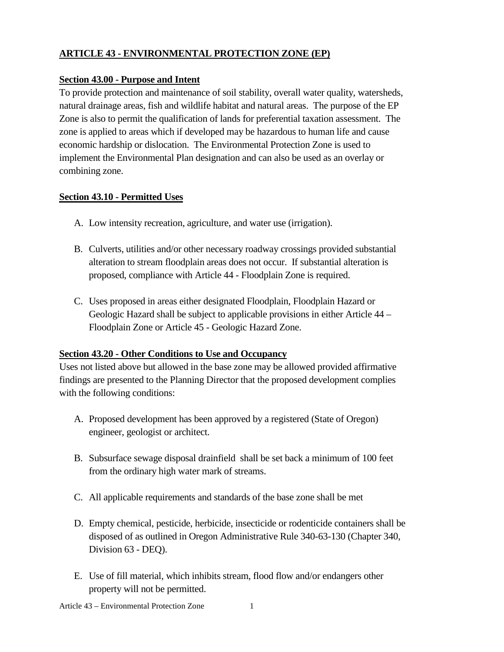# **ARTICLE 43 - ENVIRONMENTAL PROTECTION ZONE (EP)**

#### **Section 43.00 - Purpose and Intent**

To provide protection and maintenance of soil stability, overall water quality, watersheds, natural drainage areas, fish and wildlife habitat and natural areas. The purpose of the EP Zone is also to permit the qualification of lands for preferential taxation assessment. The zone is applied to areas which if developed may be hazardous to human life and cause economic hardship or dislocation. The Environmental Protection Zone is used to implement the Environmental Plan designation and can also be used as an overlay or combining zone.

## **Section 43.10 - Permitted Uses**

- A. Low intensity recreation, agriculture, and water use (irrigation).
- B. Culverts, utilities and/or other necessary roadway crossings provided substantial alteration to stream floodplain areas does not occur. If substantial alteration is proposed, compliance with Article 44 - Floodplain Zone is required.
- C. Uses proposed in areas either designated Floodplain, Floodplain Hazard or Geologic Hazard shall be subject to applicable provisions in either Article 44 – Floodplain Zone or Article 45 - Geologic Hazard Zone.

## **Section 43.20 - Other Conditions to Use and Occupancy**

Uses not listed above but allowed in the base zone may be allowed provided affirmative findings are presented to the Planning Director that the proposed development complies with the following conditions:

- A. Proposed development has been approved by a registered (State of Oregon) engineer, geologist or architect.
- B. Subsurface sewage disposal drainfield shall be set back a minimum of 100 feet from the ordinary high water mark of streams.
- C. All applicable requirements and standards of the base zone shall be met
- D. Empty chemical, pesticide, herbicide, insecticide or rodenticide containers shall be disposed of as outlined in Oregon Administrative Rule 340-63-130 (Chapter 340, Division 63 - DEQ).
- E. Use of fill material, which inhibits stream, flood flow and/or endangers other property will not be permitted.